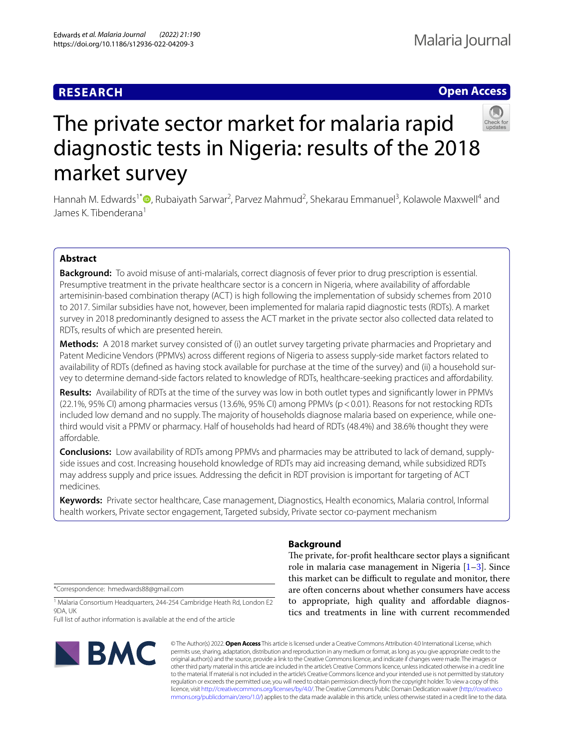# **RESEARCH**

# **Open Access**



# The private sector market for malaria rapid diagnostic tests in Nigeria: results of the 2018 market survey

Hannah M. Edwards<sup>1[\\*](http://orcid.org/0000-0001-8706-0732)</sup> <sup>n</sup>, Rubaiyath Sarwar<sup>2</sup>, Parvez Mahmud<sup>2</sup>, Shekarau Emmanuel<sup>3</sup>, Kolawole Maxwell<sup>4</sup> and James K. Tibenderana<sup>1</sup>

# **Abstract**

**Background:** To avoid misuse of anti-malarials, correct diagnosis of fever prior to drug prescription is essential. Presumptive treatment in the private healthcare sector is a concern in Nigeria, where availability of afordable artemisinin-based combination therapy (ACT) is high following the implementation of subsidy schemes from 2010 to 2017. Similar subsidies have not, however, been implemented for malaria rapid diagnostic tests (RDTs). A market survey in 2018 predominantly designed to assess the ACT market in the private sector also collected data related to RDTs, results of which are presented herein.

**Methods:** A 2018 market survey consisted of (i) an outlet survey targeting private pharmacies and Proprietary and Patent Medicine Vendors (PPMVs) across diferent regions of Nigeria to assess supply-side market factors related to availability of RDTs (defned as having stock available for purchase at the time of the survey) and (ii) a household survey to determine demand-side factors related to knowledge of RDTs, healthcare-seeking practices and afordability.

**Results:** Availability of RDTs at the time of the survey was low in both outlet types and signifcantly lower in PPMVs (22.1%, 95% CI) among pharmacies versus (13.6%, 95% CI) among PPMVs (p<0.01). Reasons for not restocking RDTs included low demand and no supply. The majority of households diagnose malaria based on experience, while onethird would visit a PPMV or pharmacy. Half of households had heard of RDTs (48.4%) and 38.6% thought they were affordable.

**Conclusions:** Low availability of RDTs among PPMVs and pharmacies may be attributed to lack of demand, supplyside issues and cost. Increasing household knowledge of RDTs may aid increasing demand, while subsidized RDTs may address supply and price issues. Addressing the defcit in RDT provision is important for targeting of ACT medicines.

**Keywords:** Private sector healthcare, Case management, Diagnostics, Health economics, Malaria control, Informal health workers, Private sector engagement, Targeted subsidy, Private sector co-payment mechanism

\*Correspondence: hmedwards88@gmail.com

<sup>1</sup> Malaria Consortium Headquarters, 244-254 Cambridge Heath Rd, London E2 9DA, UK

Full list of author information is available at the end of the article



# **Background**

The private, for-profit healthcare sector plays a significant role in malaria case management in Nigeria  $[1-3]$  $[1-3]$ . Since this market can be difficult to regulate and monitor, there are often concerns about whether consumers have access to appropriate, high quality and afordable diagnostics and treatments in line with current recommended

© The Author(s) 2022. **Open Access** This article is licensed under a Creative Commons Attribution 4.0 International License, which permits use, sharing, adaptation, distribution and reproduction in any medium or format, as long as you give appropriate credit to the original author(s) and the source, provide a link to the Creative Commons licence, and indicate if changes were made. The images or other third party material in this article are included in the article's Creative Commons licence, unless indicated otherwise in a credit line to the material. If material is not included in the article's Creative Commons licence and your intended use is not permitted by statutory regulation or exceeds the permitted use, you will need to obtain permission directly from the copyright holder. To view a copy of this licence, visit [http://creativecommons.org/licenses/by/4.0/.](http://creativecommons.org/licenses/by/4.0/) The Creative Commons Public Domain Dedication waiver ([http://creativeco](http://creativecommons.org/publicdomain/zero/1.0/) [mmons.org/publicdomain/zero/1.0/](http://creativecommons.org/publicdomain/zero/1.0/)) applies to the data made available in this article, unless otherwise stated in a credit line to the data.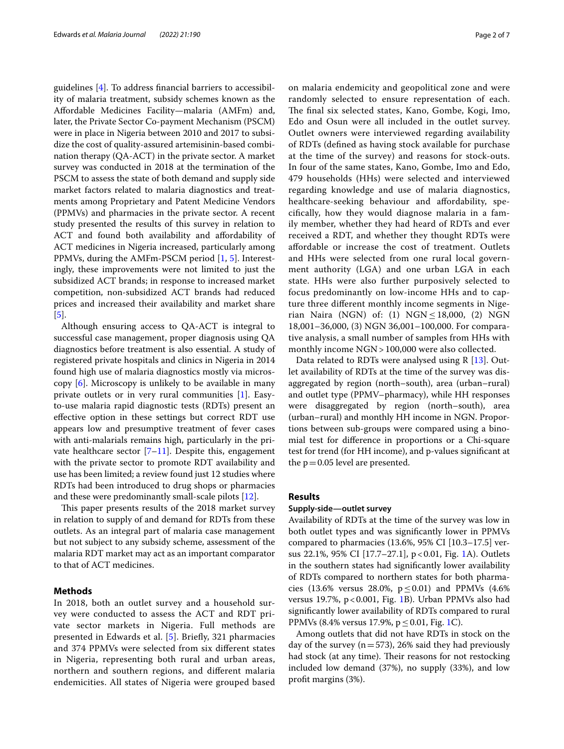guidelines [\[4](#page-5-2)]. To address fnancial barriers to accessibility of malaria treatment, subsidy schemes known as the Afordable Medicines Facility—malaria (AMFm) and, later, the Private Sector Co-payment Mechanism (PSCM) were in place in Nigeria between 2010 and 2017 to subsidize the cost of quality-assured artemisinin-based combination therapy (QA-ACT) in the private sector. A market survey was conducted in 2018 at the termination of the PSCM to assess the state of both demand and supply side market factors related to malaria diagnostics and treatments among Proprietary and Patent Medicine Vendors (PPMVs) and pharmacies in the private sector. A recent study presented the results of this survey in relation to ACT and found both availability and affordability of ACT medicines in Nigeria increased, particularly among PPMVs, during the AMFm-PSCM period [[1,](#page-5-0) [5\]](#page-5-3). Interestingly, these improvements were not limited to just the subsidized ACT brands; in response to increased market competition, non-subsidized ACT brands had reduced prices and increased their availability and market share [[5\]](#page-5-3).

Although ensuring access to QA-ACT is integral to successful case management, proper diagnosis using QA diagnostics before treatment is also essential. A study of registered private hospitals and clinics in Nigeria in 2014 found high use of malaria diagnostics mostly via microscopy [[6](#page-6-0)]. Microscopy is unlikely to be available in many private outlets or in very rural communities [[1\]](#page-5-0). Easyto-use malaria rapid diagnostic tests (RDTs) present an efective option in these settings but correct RDT use appears low and presumptive treatment of fever cases with anti-malarials remains high, particularly in the private healthcare sector  $[7-11]$  $[7-11]$ . Despite this, engagement with the private sector to promote RDT availability and use has been limited; a review found just 12 studies where RDTs had been introduced to drug shops or pharmacies and these were predominantly small-scale pilots [\[12\]](#page-6-3).

This paper presents results of the 2018 market survey in relation to supply of and demand for RDTs from these outlets. As an integral part of malaria case management but not subject to any subsidy scheme, assessment of the malaria RDT market may act as an important comparator to that of ACT medicines.

# **Methods**

In 2018, both an outlet survey and a household survey were conducted to assess the ACT and RDT private sector markets in Nigeria. Full methods are presented in Edwards et al. [\[5](#page-5-3)]. Briefy, 321 pharmacies and 374 PPMVs were selected from six diferent states in Nigeria, representing both rural and urban areas, northern and southern regions, and diferent malaria endemicities. All states of Nigeria were grouped based on malaria endemicity and geopolitical zone and were randomly selected to ensure representation of each. The final six selected states, Kano, Gombe, Kogi, Imo, Edo and Osun were all included in the outlet survey. Outlet owners were interviewed regarding availability of RDTs (defned as having stock available for purchase at the time of the survey) and reasons for stock-outs. In four of the same states, Kano, Gombe, Imo and Edo, 479 households (HHs) were selected and interviewed regarding knowledge and use of malaria diagnostics, healthcare-seeking behaviour and affordability, specifcally, how they would diagnose malaria in a family member, whether they had heard of RDTs and ever received a RDT, and whether they thought RDTs were afordable or increase the cost of treatment. Outlets and HHs were selected from one rural local government authority (LGA) and one urban LGA in each state. HHs were also further purposively selected to focus predominantly on low-income HHs and to capture three diferent monthly income segments in Nigerian Naira (NGN) of: (1) NGN  $\leq$  18,000, (2) NGN 18,001–36,000, (3) NGN 36,001–100,000. For comparative analysis, a small number of samples from HHs with monthly income NGN > 100,000 were also collected.

Data related to RDTs were analysed using R [[13\]](#page-6-4). Outlet availability of RDTs at the time of the survey was disaggregated by region (north–south), area (urban–rural) and outlet type (PPMV–pharmacy), while HH responses were disaggregated by region (north–south), area (urban–rural) and monthly HH income in NGN. Proportions between sub-groups were compared using a binomial test for diference in proportions or a Chi-square test for trend (for HH income), and p-values signifcant at the  $p=0.05$  level are presented.

#### **Results**

#### **Supply‑side—outlet survey**

Availability of RDTs at the time of the survey was low in both outlet types and was signifcantly lower in PPMVs compared to pharmacies (13.6%, 95% CI [10.3–17.5] versus 22.1%, 95% CI [17.7–27.1], p<0.01, Fig. [1A](#page-2-0)). Outlets in the southern states had signifcantly lower availability of RDTs compared to northern states for both pharmacies (13.6% versus 28.0%,  $p \le 0.01$ ) and PPMVs (4.6%) versus 19.7%,  $p < 0.001$ , Fig. [1B](#page-2-0)). Urban PPMVs also had signifcantly lower availability of RDTs compared to rural PPMVs (8.4% versus 17.9%,  $p \le 0.01$ , Fig. [1C](#page-2-0)).

Among outlets that did not have RDTs in stock on the day of the survey ( $n=573$ ), 26% said they had previously had stock (at any time). Their reasons for not restocking included low demand (37%), no supply (33%), and low proft margins (3%).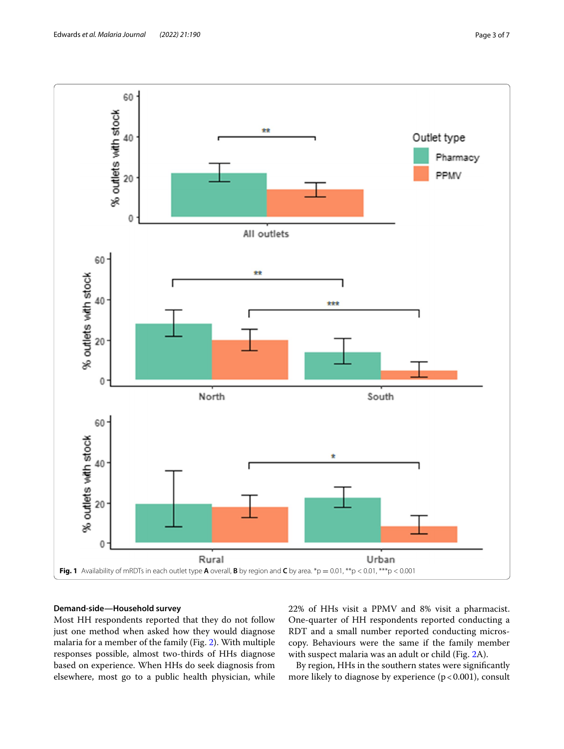

# <span id="page-2-0"></span>**Demand‑side—Household survey**

Most HH respondents reported that they do not follow just one method when asked how they would diagnose malaria for a member of the family (Fig. [2\)](#page-3-0). With multiple responses possible, almost two-thirds of HHs diagnose based on experience. When HHs do seek diagnosis from elsewhere, most go to a public health physician, while 22% of HHs visit a PPMV and 8% visit a pharmacist. One-quarter of HH respondents reported conducting a RDT and a small number reported conducting microscopy. Behaviours were the same if the family member with suspect malaria was an adult or child (Fig. [2](#page-3-0)A).

By region, HHs in the southern states were signifcantly more likely to diagnose by experience  $(p < 0.001)$ , consult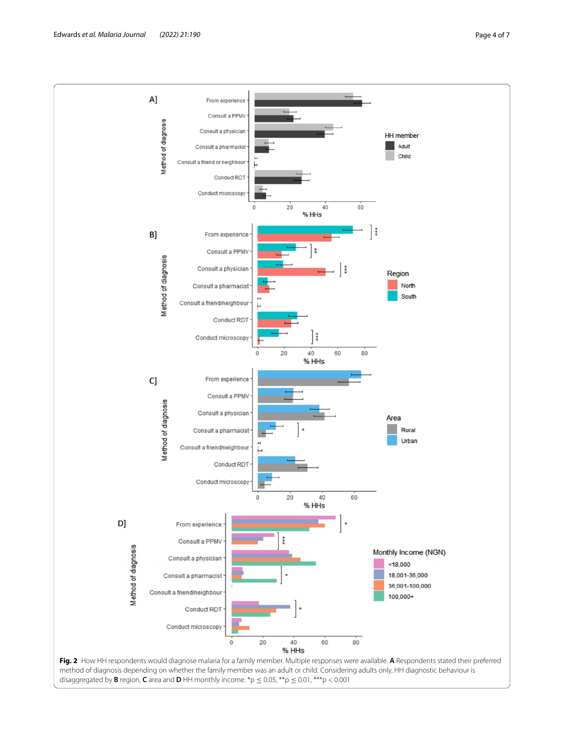

<span id="page-3-0"></span>disaggregated by **B** region, **C** area and **D** HH monthly income.  ${}^{*}p \le 0.05$ ,  ${}^{**}p \le 0.01$ ,  ${}^{***}p < 0.001$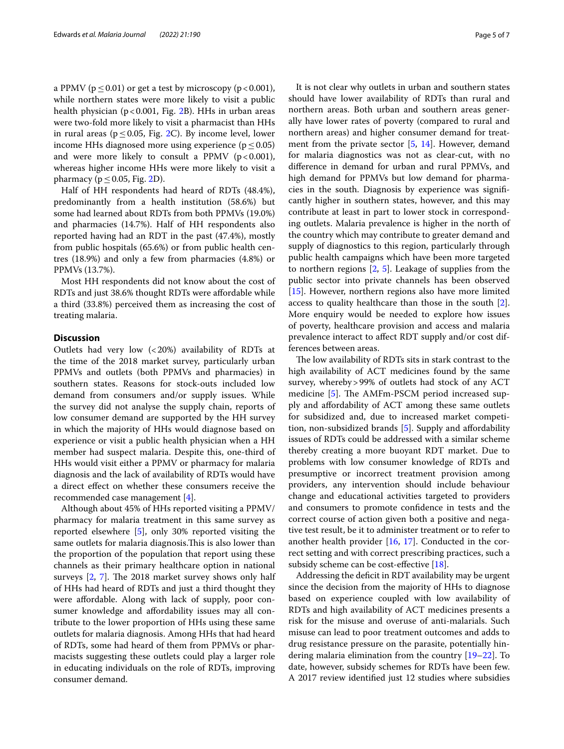a PPMV ( $p \le 0.01$ ) or get a test by microscopy ( $p < 0.001$ ), while northern states were more likely to visit a public health physician ( $p < 0.001$ , Fig. [2B](#page-3-0)). HHs in urban areas were two-fold more likely to visit a pharmacist than HHs in rural areas ( $p \le 0.05$ , Fig. [2](#page-3-0)C). By income level, lower income HHs diagnosed more using experience ( $p \le 0.05$ ) and were more likely to consult a PPMV  $(p<0.001)$ , whereas higher income HHs were more likely to visit a pharmacy ( $p \le 0.05$ , Fig. [2D](#page-3-0)).

Half of HH respondents had heard of RDTs (48.4%), predominantly from a health institution (58.6%) but some had learned about RDTs from both PPMVs (19.0%) and pharmacies (14.7%). Half of HH respondents also reported having had an RDT in the past (47.4%), mostly from public hospitals (65.6%) or from public health centres (18.9%) and only a few from pharmacies (4.8%) or PPMVs (13.7%).

Most HH respondents did not know about the cost of RDTs and just 38.6% thought RDTs were afordable while a third (33.8%) perceived them as increasing the cost of treating malaria.

## **Discussion**

Outlets had very low (<20%) availability of RDTs at the time of the 2018 market survey, particularly urban PPMVs and outlets (both PPMVs and pharmacies) in southern states. Reasons for stock-outs included low demand from consumers and/or supply issues. While the survey did not analyse the supply chain, reports of low consumer demand are supported by the HH survey in which the majority of HHs would diagnose based on experience or visit a public health physician when a HH member had suspect malaria. Despite this, one-third of HHs would visit either a PPMV or pharmacy for malaria diagnosis and the lack of availability of RDTs would have a direct efect on whether these consumers receive the recommended case management [[4](#page-5-2)].

Although about 45% of HHs reported visiting a PPMV/ pharmacy for malaria treatment in this same survey as reported elsewhere [[5\]](#page-5-3), only 30% reported visiting the same outlets for malaria diagnosis. This is also lower than the proportion of the population that report using these channels as their primary healthcare option in national surveys  $[2, 7]$  $[2, 7]$  $[2, 7]$  $[2, 7]$ . The 2018 market survey shows only half of HHs had heard of RDTs and just a third thought they were affordable. Along with lack of supply, poor consumer knowledge and afordability issues may all contribute to the lower proportion of HHs using these same outlets for malaria diagnosis. Among HHs that had heard of RDTs, some had heard of them from PPMVs or pharmacists suggesting these outlets could play a larger role in educating individuals on the role of RDTs, improving consumer demand.

It is not clear why outlets in urban and southern states should have lower availability of RDTs than rural and northern areas. Both urban and southern areas generally have lower rates of poverty (compared to rural and northern areas) and higher consumer demand for treatment from the private sector [[5,](#page-5-3) [14](#page-6-5)]. However, demand for malaria diagnostics was not as clear-cut, with no diference in demand for urban and rural PPMVs, and high demand for PPMVs but low demand for pharmacies in the south. Diagnosis by experience was signifcantly higher in southern states, however, and this may contribute at least in part to lower stock in corresponding outlets. Malaria prevalence is higher in the north of the country which may contribute to greater demand and supply of diagnostics to this region, particularly through public health campaigns which have been more targeted to northern regions [\[2](#page-5-4), [5\]](#page-5-3). Leakage of supplies from the public sector into private channels has been observed [[15\]](#page-6-6). However, northern regions also have more limited access to quality healthcare than those in the south [\[2](#page-5-4)]. More enquiry would be needed to explore how issues of poverty, healthcare provision and access and malaria prevalence interact to afect RDT supply and/or cost differences between areas.

The low availability of RDTs sits in stark contrast to the high availability of ACT medicines found by the same survey, whereby>99% of outlets had stock of any ACT medicine  $[5]$  $[5]$  $[5]$ . The AMFm-PSCM period increased supply and afordability of ACT among these same outlets for subsidized and, due to increased market competition, non-subsidized brands [[5](#page-5-3)]. Supply and afordability issues of RDTs could be addressed with a similar scheme thereby creating a more buoyant RDT market. Due to problems with low consumer knowledge of RDTs and presumptive or incorrect treatment provision among providers, any intervention should include behaviour change and educational activities targeted to providers and consumers to promote confdence in tests and the correct course of action given both a positive and negative test result, be it to administer treatment or to refer to another health provider [[16](#page-6-7), [17](#page-6-8)]. Conducted in the correct setting and with correct prescribing practices, such a subsidy scheme can be cost-efective [[18\]](#page-6-9).

Addressing the deficit in RDT availability may be urgent since the decision from the majority of HHs to diagnose based on experience coupled with low availability of RDTs and high availability of ACT medicines presents a risk for the misuse and overuse of anti-malarials. Such misuse can lead to poor treatment outcomes and adds to drug resistance pressure on the parasite, potentially hindering malaria elimination from the country [[19–](#page-6-10)[22\]](#page-6-11). To date, however, subsidy schemes for RDTs have been few. A 2017 review identifed just 12 studies where subsidies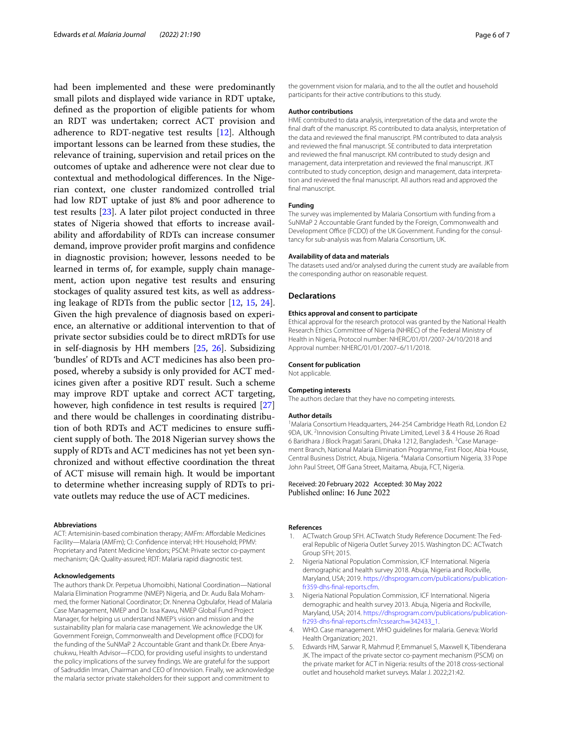had been implemented and these were predominantly small pilots and displayed wide variance in RDT uptake, defned as the proportion of eligible patients for whom an RDT was undertaken; correct ACT provision and adherence to RDT-negative test results [[12\]](#page-6-3). Although important lessons can be learned from these studies, the relevance of training, supervision and retail prices on the outcomes of uptake and adherence were not clear due to contextual and methodological diferences. In the Nigerian context, one cluster randomized controlled trial had low RDT uptake of just 8% and poor adherence to test results [[23\]](#page-6-12). A later pilot project conducted in three states of Nigeria showed that efforts to increase availability and afordability of RDTs can increase consumer demand, improve provider proft margins and confdence in diagnostic provision; however, lessons needed to be learned in terms of, for example, supply chain management, action upon negative test results and ensuring stockages of quality assured test kits, as well as addressing leakage of RDTs from the public sector [\[12](#page-6-3), [15,](#page-6-6) [24](#page-6-13)]. Given the high prevalence of diagnosis based on experience, an alternative or additional intervention to that of private sector subsidies could be to direct mRDTs for use in self-diagnosis by HH members [[25](#page-6-14), [26\]](#page-6-15). Subsidizing 'bundles' of RDTs and ACT medicines has also been proposed, whereby a subsidy is only provided for ACT medicines given after a positive RDT result. Such a scheme may improve RDT uptake and correct ACT targeting, however, high confdence in test results is required [[27](#page-6-16)] and there would be challenges in coordinating distribution of both RDTs and ACT medicines to ensure sufficient supply of both. The 2018 Nigerian survey shows the supply of RDTs and ACT medicines has not yet been synchronized and without efective coordination the threat of ACT misuse will remain high. It would be important to determine whether increasing supply of RDTs to private outlets may reduce the use of ACT medicines.

#### **Abbreviations**

ACT: Artemisinin-based combination therapy; AMFm: Affordable Medicines Facility—Malaria (AMFm); CI: Confdence interval; HH: Household; PPMV: Proprietary and Patent Medicine Vendors; PSCM: Private sector co-payment mechanism; QA: Quality-assured; RDT: Malaria rapid diagnostic test.

#### **Acknowledgements**

The authors thank Dr. Perpetua Uhomoibhi, National Coordination—National Malaria Elimination Programme (NMEP) Nigeria, and Dr. Audu Bala Mohammed, the former National Coordinator; Dr. Nnenna Ogbulafor, Head of Malaria Case Management, NMEP and Dr. Issa Kawu, NMEP Global Fund Project Manager, for helping us understand NMEP's vision and mission and the sustainability plan for malaria case management. We acknowledge the UK Government Foreign, Commonwealth and Development office (FCDO) for the funding of the SuNMaP 2 Accountable Grant and thank Dr. Ebere Anyachukwu, Health Advisor—FCDO, for providing useful insights to understand the policy implications of the survey fndings. We are grateful for the support of Sadruddin Imran, Chairman and CEO of Innovision. Finally, we acknowledge the malaria sector private stakeholders for their support and commitment to

the government vision for malaria, and to the all the outlet and household participants for their active contributions to this study.

# **Author contributions**

HME contributed to data analysis, interpretation of the data and wrote the fnal draft of the manuscript. RS contributed to data analysis, interpretation of the data and reviewed the fnal manuscript. PM contributed to data analysis and reviewed the fnal manuscript. SE contributed to data interpretation and reviewed the fnal manuscript. KM contributed to study design and management, data interpretation and reviewed the fnal manuscript. JKT contributed to study conception, design and management, data interpretation and reviewed the fnal manuscript. All authors read and approved the fnal manuscript.

## **Funding**

The survey was implemented by Malaria Consortium with funding from a SuNMaP 2 Accountable Grant funded by the Foreign, Commonwealth and Development Office (FCDO) of the UK Government. Funding for the consultancy for sub-analysis was from Malaria Consortium, UK.

## **Availability of data and materials**

The datasets used and/or analysed during the current study are available from the corresponding author on reasonable request.

#### **Declarations**

#### **Ethics approval and consent to participate**

Ethical approval for the research protocol was granted by the National Health Research Ethics Committee of Nigeria (NHREC) of the Federal Ministry of Health in Nigeria, Protocol number: NHERC/01/01/2007-24/10/2018 and Approval number: NHERC/01/01/2007–6/11/2018.

### **Consent for publication**

Not applicable.

#### **Competing interests**

The authors declare that they have no competing interests.

#### **Author details**

<sup>1</sup> Malaria Consortium Headquarters, 244-254 Cambridge Heath Rd, London E2 9DA, UK. <sup>2</sup> Innovision Consulting Private Limited, Level 3 & 4 House 26 Road 6 Baridhara J Block Pragati Sarani, Dhaka 1212, Bangladesh. <sup>3</sup> Case Management Branch, National Malaria Elimination Programme, First Floor, Abia House, Central Business District, Abuja, Nigeria. <sup>4</sup>Malaria Consortium Nigeria, 33 Pope John Paul Street, Off Gana Street, Maitama, Abuja, FCT, Nigeria.

# Received: 20 February 2022 Accepted: 30 May 2022 Published online: 16 June 2022

#### **References**

- <span id="page-5-0"></span>1. ACTwatch Group SFH. ACTwatch Study Reference Document: The Federal Republic of Nigeria Outlet Survey 2015. Washington DC: ACTwatch Group SFH; 2015.
- <span id="page-5-4"></span>2. Nigeria National Population Commission, ICF International. Nigeria demographic and health survey 2018. Abuja, Nigeria and Rockville, Maryland, USA; 2019. [https://dhsprogram.com/publications/publication](https://dhsprogram.com/publications/publication-fr359-dhs-final-reports.cfm)[fr359-dhs-fnal-reports.cfm](https://dhsprogram.com/publications/publication-fr359-dhs-final-reports.cfm).
- <span id="page-5-1"></span>3. Nigeria National Population Commission, ICF International. Nigeria demographic and health survey 2013. Abuja, Nigeria and Rockville, Maryland, USA; 2014. [https://dhsprogram.com/publications/publication](https://dhsprogram.com/publications/publication-fr293-dhs-final-reports.cfm?cssearch=342433_1)[fr293-dhs-fnal-reports.cfm?cssearch](https://dhsprogram.com/publications/publication-fr293-dhs-final-reports.cfm?cssearch=342433_1)=342433\_1.
- <span id="page-5-2"></span>4. WHO. Case management. WHO guidelines for malaria. Geneva: World Health Organization; 2021.
- <span id="page-5-3"></span>5. Edwards HM, Sarwar R, Mahmud P, Emmanuel S, Maxwell K, Tibenderana JK. The impact of the private sector co-payment mechanism (PSCM) on the private market for ACT in Nigeria: results of the 2018 cross-sectional outlet and household market surveys. Malar J. 2022;21:42.